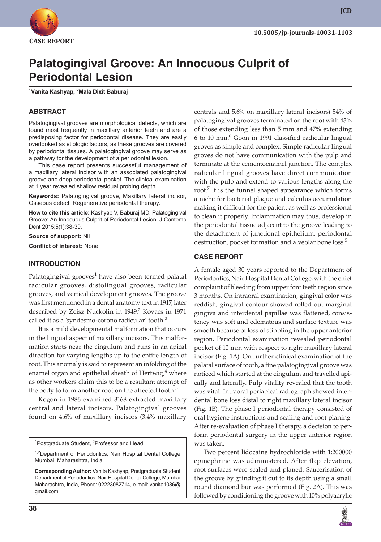

# **Palatogingival Groove: An Innocuous Culprit of Periodontal Lesion**

**1 Vanita Kashyap, 2 Mala Dixit Baburaj**

## **ABSTRACT**

Palatogingival grooves are morphological defects, which are found most frequently in maxillary anterior teeth and are a predisposing factor for periodontal disease. They are easily overlooked as etiologic factors, as these grooves are covered by periodontal tissues. A palatogingival groove may serve as a pathway for the development of a periodontal lesion.

This case report presents successful management of a maxillary lateral incisor with an associated palatogingival groove and deep periodontal pocket. The clinical examination at 1 year revealed shallow residual probing depth.

**Keywords:** Palatogingival groove, Maxillary lateral incisor, Osseous defect, Regenerative periodontal therapy.

**How to cite this article:** Kashyap V, Baburaj MD. Palatogingival Groove: An Innocuous Culprit of Periodontal Lesion. J Contemp Dent 2015;5(1):38-39.

**Source of support:** Nil **Conflict of interest:** None

#### **INTRODUCTION**

Palatogingival grooves<sup>1</sup> have also been termed palatal radicular grooves, distolingual grooves, radicular grooves, and vertical development grooves. The groove was first mentioned in a dental anatomy text in 1917, later described by Zeisz Nuckolin in 1949.<sup>2</sup> Kovacs in 1971 called it as a 'syndesmo-corono radicular' tooth.<sup>3</sup>

It is a mild developmental malformation that occurs in the lingual aspect of maxillary incisors. This malformation starts near the cingulum and runs in an apical direction for varying lengths up to the entire length of root. This anomaly is said to represent an infolding of the enamel organ and epithelial sheath of Hertwig, $4$  where as other workers claim this to be a resultant attempt of the body to form another root on the affected tooth.<sup>5</sup>

Kogon in 1986 examined 3168 extracted maxillary central and lateral incisors. Palatogingival grooves found on 4.6% of maxillary incisors (3.4% maxillary

<sup>1</sup>Postgraduate Student, <sup>2</sup>Professor and Head

<sup>1,2</sup>Department of Periodontics, Nair Hospital Dental College Mumbai, Maharashtra, India

**Corresponding Author:** Vanita Kashyap, Postgraduate Student Department of Periodontics, Nair Hospital Dental College, Mumbai Maharashtra, India, Phone: 02223082714, e-mail: vanita1086@ gmail.com

centrals and 5.6% on maxillary lateral incisors) 54% of palatogingival grooves terminated on the root with 43% of those extending less than 5 mm and 47% extending 6 to 10 mm.<sup>6</sup> Goon in 1991 classified radicular lingual groves as simple and complex. Simple radicular lingual groves do not have communication with the pulp and terminate at the cementoenamel junction. The complex radicular lingual grooves have direct communication with the pulp and extend to various lengths along the root.<sup>7</sup> It is the funnel shaped appearance which forms a niche for bacterial plaque and calculus accumulation making it difficult for the patient as well as professional to clean it properly. Inflammation may thus, develop in the periodontal tissue adjacent to the groove leading to the detachment of junctional epithelium, periodontal destruction, pocket formation and alveolar bone loss.<sup>5</sup>

#### **CASE REPORT**

A female aged 30 years reported to the Department of Periodontics, Nair Hospital Dental College, with the chief complaint of bleeding from upper font teeth region since 3 months. On intraoral examination, gingival color was reddish, gingival contour showed rolled out marginal gingiva and interdental papillae was flattened, consistency was soft and edematous and surface texture was smooth because of loss of stippling in the upper anterior region. Periodontal examination revealed periodontal pocket of 10 mm with respect to right maxillary lateral incisor (Fig. 1A). On further clinical examination of the palatal surface of tooth, a fine palatogingival groove was noticed which started at the cingulum and travelled apically and laterally. Pulp vitality revealed that the tooth was vital. Intraoral periapical radiograph showed interdental bone loss distal to right maxillary lateral incisor (Fig. 1B). The phase I periodontal therapy consisted of oral hygiene instructions and scaling and root planing. After re-evaluation of phase I therapy, a decision to perform periodontal surgery in the upper anterior region was taken.

Two percent lidocaine hydrochloride with 1:200000 epinephrine was administered. After flap elevation, root surfaces were scaled and planed. Saucerisation of the groove by grinding it out to its depth using a small round diamond bur was performed (Fig. 2A). This was followed by conditioning the groove with 10% polyacrylic